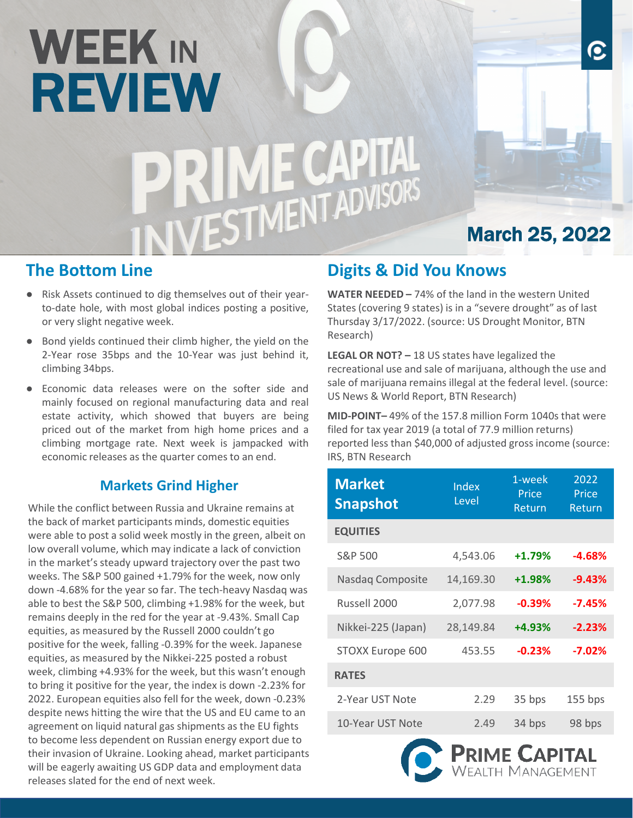# WEEK IN REVIEW<br>PRIME CAPITAL<br>INIVESTMENT ADVISORS

### **The Bottom Line**

- Risk Assets continued to dig themselves out of their yearto-date hole, with most global indices posting a positive, or very slight negative week.
- Bond yields continued their climb higher, the yield on the 2-Year rose 35bps and the 10-Year was just behind it, climbing 34bps.
- Economic data releases were on the softer side and mainly focused on regional manufacturing data and real estate activity, which showed that buyers are being priced out of the market from high home prices and a climbing mortgage rate. Next week is jampacked with economic releases as the quarter comes to an end.

#### **Markets Grind Higher**

While the conflict between Russia and Ukraine remains at the back of market participants minds, domestic equities were able to post a solid week mostly in the green, albeit on low overall volume, which may indicate a lack of conviction in the market's steady upward trajectory over the past two weeks. The S&P 500 gained +1.79% for the week, now only down -4.68% for the year so far. The tech-heavy Nasdaq was able to best the S&P 500, climbing +1.98% for the week, but remains deeply in the red for the year at -9.43%. Small Cap equities, as measured by the Russell 2000 couldn't go positive for the week, falling -0.39% for the week. Japanese equities, as measured by the Nikkei-225 posted a robust week, climbing +4.93% for the week, but this wasn't enough to bring it positive for the year, the index is down -2.23% for 2022. European equities also fell for the week, down -0.23% despite news hitting the wire that the US and EU came to an agreement on liquid natural gas shipments as the EU fights to become less dependent on Russian energy export due to their invasion of Ukraine. Looking ahead, market participants will be eagerly awaiting US GDP data and employment data releases slated for the end of next week.

# **Digits & Did You Knows**

**WATER NEEDED –** 74% of the land in the western United States (covering 9 states) is in a "severe drought" as of last Thursday 3/17/2022. (source: US Drought Monitor, BTN Research)

March 25, 2022

O

**LEGAL OR NOT? –** 18 US states have legalized the recreational use and sale of marijuana, although the use and sale of marijuana remains illegal at the federal level. (source: US News & World Report, BTN Research)

**MID-POINT–** 49% of the 157.8 million Form 1040s that were filed for tax year 2019 (a total of 77.9 million returns) reported less than \$40,000 of adjusted gross income (source: IRS, BTN Research

| <b>Market</b><br><b>Snapshot</b> | Index<br>Level                            | 1-week<br>Price<br>Return | 2022<br>Price<br>Return |
|----------------------------------|-------------------------------------------|---------------------------|-------------------------|
| <b>EQUITIES</b>                  |                                           |                           |                         |
| S&P 500                          | 4,543.06                                  | $+1.79%$                  | $-4.68%$                |
| Nasdaq Composite                 | 14,169.30                                 | +1.98%                    | $-9.43%$                |
| Russell 2000                     | 2,077.98                                  | $-7.45%$                  |                         |
| Nikkei-225 (Japan)               | 28,149.84                                 | +4.93%                    | $-2.23%$                |
| STOXX Europe 600                 | 453.55                                    | $-0.23%$                  | $-7.02%$                |
| <b>RATES</b>                     |                                           |                           |                         |
| 2-Year UST Note                  | 2.29                                      | 35 bps                    | 155 bps                 |
| 10-Year UST Note                 | 2.49                                      | 34 bps                    | 98 bps                  |
|                                  | <b>PRIME CAPITAL</b><br>WEALTH MANAGEMENT |                           |                         |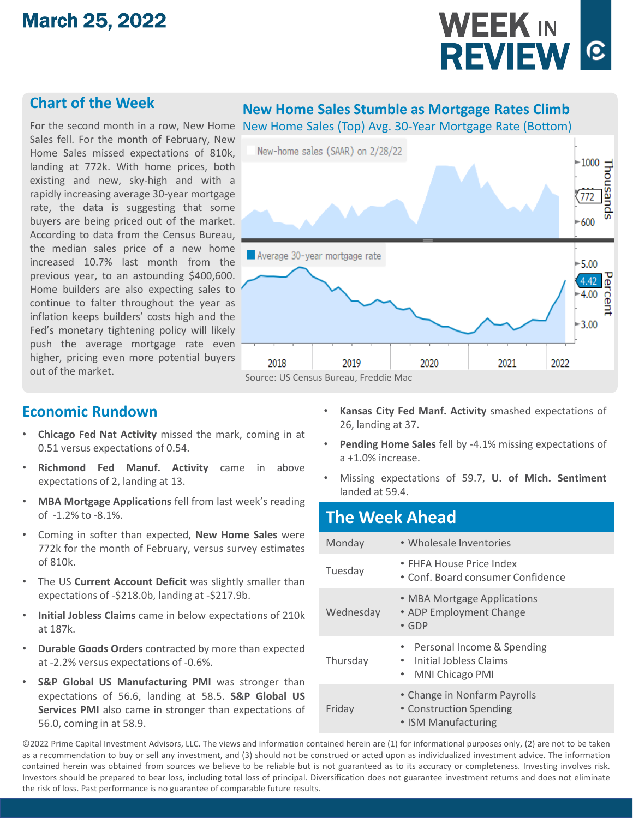# March 25, 2022

# WEEK IN **REVIEW ©**

#### **Chart of the Week**

Sales fell. For the month of February, New Home Sales missed expectations of 810k, landing at 772k. With home prices, both existing and new, sky-high and with a rapidly increasing average 30-year mortgage rate, the data is suggesting that some buyers are being priced out of the market. According to data from the Census Bureau, the median sales price of a new home increased 10.7% last month from the previous year, to an astounding \$400,600. Home builders are also expecting sales to continue to falter throughout the year as inflation keeps builders' costs high and the Fed's monetary tightening policy will likely push the average mortgage rate even higher, pricing even more potential buyers out of the market.

#### **New Home Sales Stumble as Mortgage Rates Climb**

For the second month in a row, New Home New Home Sales (Top) Avg. 30-Year Mortgage Rate (Bottom)



#### **Economic Rundown**

- **Chicago Fed Nat Activity** missed the mark, coming in at 0.51 versus expectations of 0.54.
- **Richmond Fed Manuf. Activity** came in above expectations of 2, landing at 13.
- **MBA Mortgage Applications** fell from last week's reading of -1.2% to -8.1%.
- Coming in softer than expected, **New Home Sales** were 772k for the month of February, versus survey estimates of 810k.
- The US **Current Account Deficit** was slightly smaller than expectations of -\$218.0b, landing at -\$217.9b.
- **Initial Jobless Claims** came in below expectations of 210k at 187k.
- **Durable Goods Orders** contracted by more than expected at -2.2% versus expectations of -0.6%.
- **S&P Global US Manufacturing PMI** was stronger than expectations of 56.6, landing at 58.5. **S&P Global US Services PMI** also came in stronger than expectations of 56.0, coming in at 58.9.
- **Kansas City Fed Manf. Activity** smashed expectations of 26, landing at 37.
- **Pending Home Sales** fell by -4.1% missing expectations of a +1.0% increase.
- Missing expectations of 59.7, **U. of Mich. Sentiment** landed at 59.4.

#### **The Week Ahead** Monday • Wholesale Inventories Tuesday • FHFA House Price Index • Conf. Board consumer Confidence Wednesday • MBA Mortgage Applications • ADP Employment Change • GDP Thursday • Personal Income & Spending • Initial Jobless Claims • MNI Chicago PMI Friday • Change in Nonfarm Payrolls • Construction Spending • ISM Manufacturing

©2022 Prime Capital Investment Advisors, LLC. The views and information contained herein are (1) for informational purposes only, (2) are not to be taken as a recommendation to buy or sell any investment, and (3) should not be construed or acted upon as individualized investment advice. The information contained herein was obtained from sources we believe to be reliable but is not guaranteed as to its accuracy or completeness. Investing involves risk. Investors should be prepared to bear loss, including total loss of principal. Diversification does not guarantee investment returns and does not eliminate the risk of loss. Past performance is no guarantee of comparable future results.